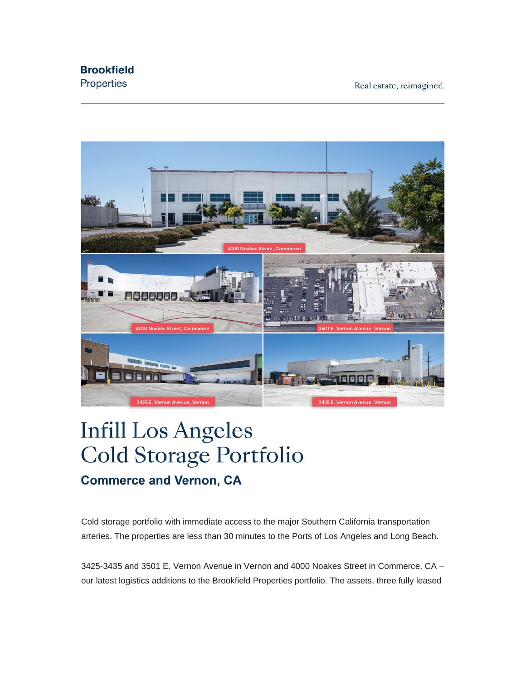## **Brookfield**

Properties

Real estate, reimagined.



## **Infill Los Angeles Cold Storage Portfolio Commerce and Vernon, CA**

Cold storage portfolio with immediate access to the major Southern California transportation arteries. The properties are less than 30 minutes to the Ports of Los Angeles and Long Beach.

3425-3435 and 3501 E. Vernon Avenue in Vernon and 4000 Noakes Street in Commerce, CA – our latest logistics additions to the Brookfield Properties portfolio. The assets, three fully leased